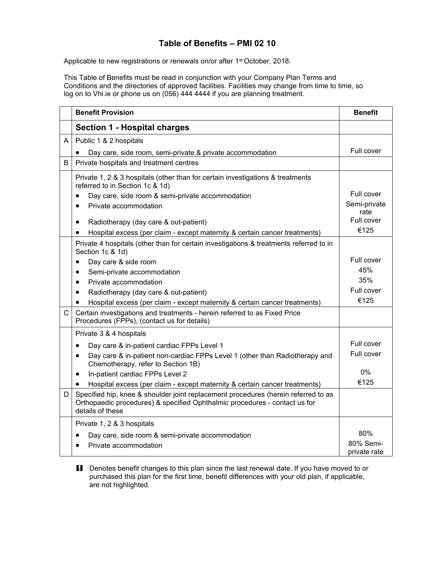## **Table of Benefits – PMI 02 10**

Applicable to new registrations or renewals on/or after 1<sup>st</sup> October, 2018.

This Table of Benefits must be read in conjunction with your Company Plan Terms and Conditions and the directories of approved facilities. Facilities may change from time to time, so log on to Vhi.ie or phone us on (056) 444 4444 if you are planning treatment.

|              | <b>Benefit Provision</b>                                                                                                                                                             | <b>Benefit</b>            |
|--------------|--------------------------------------------------------------------------------------------------------------------------------------------------------------------------------------|---------------------------|
|              | <b>Section 1 - Hospital charges</b>                                                                                                                                                  |                           |
| A            | Public 1 & 2 hospitals                                                                                                                                                               |                           |
|              | Day care, side room, semi-private & private accommodation                                                                                                                            | Full cover                |
| B            | Private hospitals and treatment centres                                                                                                                                              |                           |
|              | Private 1, 2 & 3 hospitals (other than for certain investigations & treatments<br>referred to in Section 1c & 1d)                                                                    |                           |
|              | Day care, side room & semi-private accommodation                                                                                                                                     | Full cover                |
|              | Private accommodation<br>$\bullet$                                                                                                                                                   | Semi-private<br>rate      |
|              | Radiotherapy (day care & out-patient)<br>٠                                                                                                                                           | Full cover                |
|              | Hospital excess (per claim - except maternity & certain cancer treatments)<br>$\bullet$                                                                                              | €125                      |
|              | Private 4 hospitals (other than for certain investigations & treatments referred to in<br>Section 1c & 1d)                                                                           |                           |
|              | Day care & side room<br>$\bullet$                                                                                                                                                    | Full cover                |
|              | Semi-private accommodation<br>$\bullet$                                                                                                                                              | 45%                       |
|              | Private accommodation<br>$\bullet$                                                                                                                                                   | 35%                       |
|              | Radiotherapy (day care & out-patient)<br>$\bullet$                                                                                                                                   | Full cover                |
|              | Hospital excess (per claim - except maternity & certain cancer treatments)                                                                                                           | €125                      |
| $\mathsf{C}$ | Certain investigations and treatments - herein referred to as Fixed Price<br>Procedures (FPPs), (contact us for details)                                                             |                           |
|              | Private 3 & 4 hospitals                                                                                                                                                              |                           |
|              | Day care & in-patient cardiac FPPs Level 1<br>٠                                                                                                                                      | Full cover                |
|              | Day care & in-patient non-cardiac FPPs Level 1 (other than Radiotherapy and<br>$\bullet$<br>Chemotherapy, refer to Section 1B)                                                       | Full cover                |
|              | In-patient cardiac FPPs Level 2<br>٠                                                                                                                                                 | $0\%$                     |
|              | Hospital excess (per claim - except maternity & certain cancer treatments)                                                                                                           | €125                      |
| D            | Specified hip, knee & shoulder joint replacement procedures (herein referred to as<br>Orthopaedic procedures) & specified Ophthalmic procedures - contact us for<br>details of these |                           |
|              | Private 1, 2 & 3 hospitals                                                                                                                                                           |                           |
|              | Day care, side room & semi-private accommodation<br>$\bullet$                                                                                                                        | 80%                       |
|              | Private accommodation                                                                                                                                                                | 80% Semi-<br>private rate |

**H** Denotes benefit changes to this plan since the last renewal date. If you have moved to or purchased this plan for the first time, benefit differences with your old plan, if applicable, are not highlighted.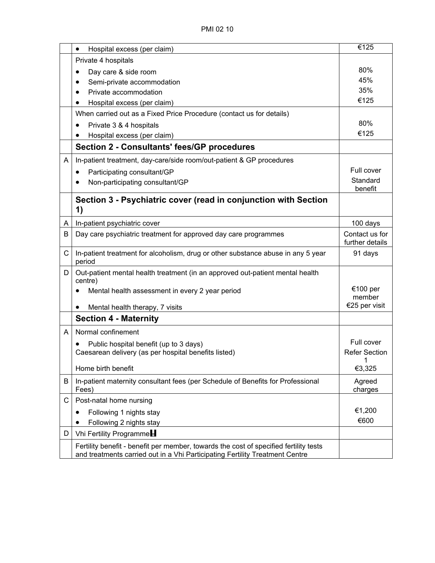|   | Hospital excess (per claim)<br>$\bullet$                                                   | €125                 |
|---|--------------------------------------------------------------------------------------------|----------------------|
|   | Private 4 hospitals                                                                        |                      |
|   | Day care & side room                                                                       | 80%                  |
|   | Semi-private accommodation                                                                 | 45%                  |
|   | Private accommodation                                                                      | 35%                  |
|   | Hospital excess (per claim)                                                                | €125                 |
|   | When carried out as a Fixed Price Procedure (contact us for details)                       |                      |
|   | Private 3 & 4 hospitals                                                                    | 80%                  |
|   | Hospital excess (per claim)                                                                | €125                 |
|   | Section 2 - Consultants' fees/GP procedures                                                |                      |
| A | In-patient treatment, day-care/side room/out-patient & GP procedures                       |                      |
|   | Participating consultant/GP<br>$\bullet$                                                   | Full cover           |
|   | Non-participating consultant/GP                                                            | Standard             |
|   |                                                                                            | benefit              |
|   | Section 3 - Psychiatric cover (read in conjunction with Section<br>1)                      |                      |
| A | In-patient psychiatric cover                                                               | 100 days             |
| В | Day care psychiatric treatment for approved day care programmes                            | Contact us for       |
|   |                                                                                            | further details      |
| C | In-patient treatment for alcoholism, drug or other substance abuse in any 5 year<br>period | 91 days              |
| D | Out-patient mental health treatment (in an approved out-patient mental health<br>centre)   |                      |
|   | Mental health assessment in every 2 year period                                            | €100 per<br>member   |
|   | Mental health therapy, 7 visits<br>$\bullet$                                               | €25 per visit        |
|   | <b>Section 4 - Maternity</b>                                                               |                      |
| A | Normal confinement                                                                         |                      |
|   | Public hospital benefit (up to 3 days)                                                     | Full cover           |
|   | Caesarean delivery (as per hospital benefits listed)                                       | <b>Refer Section</b> |
|   |                                                                                            | $\overline{1}$       |
|   | Home birth benefit                                                                         | €3,325               |
| B | In-patient maternity consultant fees (per Schedule of Benefits for Professional<br>Fees)   | Agreed<br>charges    |
| С | Post-natal home nursing                                                                    |                      |
|   | Following 1 nights stay                                                                    | €1,200               |
|   | Following 2 nights stay                                                                    | €600                 |
| D | Vhi Fertility Programme                                                                    |                      |
|   | Fertility benefit - benefit per member, towards the cost of specified fertility tests      |                      |
|   | and treatments carried out in a Vhi Participating Fertility Treatment Centre               |                      |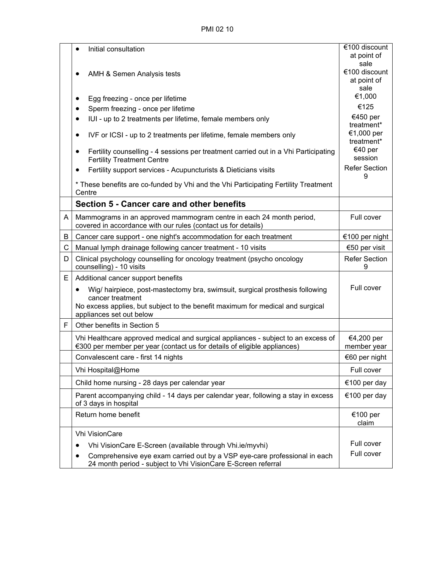PMI 02 10

|   |                                                                                                                                      | €100 discount             |
|---|--------------------------------------------------------------------------------------------------------------------------------------|---------------------------|
|   | Initial consultation                                                                                                                 | at point of               |
|   |                                                                                                                                      | sale                      |
|   | AMH & Semen Analysis tests                                                                                                           | €100 discount             |
|   |                                                                                                                                      | at point of               |
|   |                                                                                                                                      | sale                      |
|   | Egg freezing - once per lifetime<br>٠                                                                                                | €1,000                    |
|   | Sperm freezing - once per lifetime<br>$\bullet$                                                                                      | €125                      |
|   | IUI - up to 2 treatments per lifetime, female members only<br>$\bullet$                                                              | €450 per<br>treatment*    |
|   | IVF or ICSI - up to 2 treatments per lifetime, female members only<br>$\bullet$                                                      | €1,000 per<br>treatment*  |
|   | Fertility counselling - 4 sessions per treatment carried out in a Vhi Participating<br><b>Fertility Treatment Centre</b>             | €40 per<br>session        |
|   | Fertility support services - Acupuncturists & Dieticians visits<br>$\bullet$                                                         | <b>Refer Section</b><br>9 |
|   | * These benefits are co-funded by Vhi and the Vhi Participating Fertility Treatment<br>Centre                                        |                           |
|   | Section 5 - Cancer care and other benefits                                                                                           |                           |
| A | Mammograms in an approved mammogram centre in each 24 month period,<br>covered in accordance with our rules (contact us for details) | Full cover                |
| B | Cancer care support - one night's accommodation for each treatment                                                                   | €100 per night            |
| C | Manual lymph drainage following cancer treatment - 10 visits                                                                         | €50 per visit             |
| D | Clinical psychology counselling for oncology treatment (psycho oncology<br>counselling) - 10 visits                                  | <b>Refer Section</b><br>9 |
| E | Additional cancer support benefits                                                                                                   |                           |
|   |                                                                                                                                      | Full cover                |
|   | Wig/ hairpiece, post-mastectomy bra, swimsuit, surgical prosthesis following<br>$\bullet$<br>cancer treatment                        |                           |
|   | No excess applies, but subject to the benefit maximum for medical and surgical<br>appliances set out below                           |                           |
| F | Other benefits in Section 5                                                                                                          |                           |
|   | Vhi Healthcare approved medical and surgical appliances - subject to an excess of                                                    |                           |
|   | €300 per member per year (contact us for details of eligible appliances)                                                             | €4,200 per<br>member year |
|   | Convalescent care - first 14 nights                                                                                                  | €60 per night             |
|   |                                                                                                                                      |                           |
|   | Vhi Hospital@Home                                                                                                                    | Full cover                |
|   | Child home nursing - 28 days per calendar year                                                                                       | €100 per day              |
|   | Parent accompanying child - 14 days per calendar year, following a stay in excess<br>of 3 days in hospital                           | €100 per day              |
|   | Return home benefit                                                                                                                  | €100 per<br>claim         |
|   | <b>Vhi VisionCare</b>                                                                                                                |                           |
|   | Vhi VisionCare E-Screen (available through Vhi.ie/myvhi)                                                                             | Full cover                |
|   | Comprehensive eye exam carried out by a VSP eye-care professional in each                                                            | Full cover                |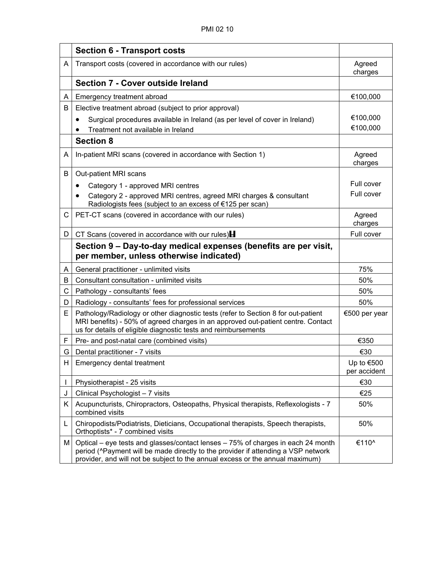|                | <b>Section 6 - Transport costs</b>                                                                                                                                                                                                                     |                              |
|----------------|--------------------------------------------------------------------------------------------------------------------------------------------------------------------------------------------------------------------------------------------------------|------------------------------|
| A              | Transport costs (covered in accordance with our rules)                                                                                                                                                                                                 | Agreed<br>charges            |
|                | Section 7 - Cover outside Ireland                                                                                                                                                                                                                      |                              |
| A              | Emergency treatment abroad                                                                                                                                                                                                                             | €100,000                     |
| B              | Elective treatment abroad (subject to prior approval)                                                                                                                                                                                                  |                              |
|                | Surgical procedures available in Ireland (as per level of cover in Ireland)                                                                                                                                                                            | €100,000                     |
|                | Treatment not available in Ireland                                                                                                                                                                                                                     | €100,000                     |
|                | <b>Section 8</b>                                                                                                                                                                                                                                       |                              |
| A              | In-patient MRI scans (covered in accordance with Section 1)                                                                                                                                                                                            | Agreed<br>charges            |
| B              | Out-patient MRI scans                                                                                                                                                                                                                                  |                              |
|                | Category 1 - approved MRI centres<br>$\bullet$                                                                                                                                                                                                         | Full cover                   |
|                | Category 2 - approved MRI centres, agreed MRI charges & consultant<br>Radiologists fees (subject to an excess of €125 per scan)                                                                                                                        | Full cover                   |
| С              | PET-CT scans (covered in accordance with our rules)                                                                                                                                                                                                    | Agreed<br>charges            |
| D              | CT Scans (covered in accordance with our rules) $\blacksquare$                                                                                                                                                                                         | Full cover                   |
|                | Section 9 – Day-to-day medical expenses (benefits are per visit,<br>per member, unless otherwise indicated)                                                                                                                                            |                              |
| A              | General practitioner - unlimited visits                                                                                                                                                                                                                | 75%                          |
| B              | Consultant consultation - unlimited visits                                                                                                                                                                                                             | 50%                          |
| С              | Pathology - consultants' fees                                                                                                                                                                                                                          | 50%                          |
| D              | Radiology - consultants' fees for professional services                                                                                                                                                                                                | 50%                          |
| E              | Pathology/Radiology or other diagnostic tests (refer to Section 8 for out-patient<br>MRI benefits) - 50% of agreed charges in an approved out-patient centre. Contact<br>us for details of eligible diagnostic tests and reimbursements                | €500 per year                |
| F              | Pre- and post-natal care (combined visits)                                                                                                                                                                                                             | €350                         |
| G              | Dental practitioner - 7 visits                                                                                                                                                                                                                         | €30                          |
| H              | Emergency dental treatment                                                                                                                                                                                                                             | Up to $€500$<br>per accident |
| I              | Physiotherapist - 25 visits                                                                                                                                                                                                                            | €30                          |
| J              | Clinical Psychologist - 7 visits                                                                                                                                                                                                                       | €25                          |
| K <sub>1</sub> | Acupuncturists, Chiropractors, Osteopaths, Physical therapists, Reflexologists - 7<br>combined visits                                                                                                                                                  | 50%                          |
| L              | Chiropodists/Podiatrists, Dieticians, Occupational therapists, Speech therapists,<br>Orthoptists* - 7 combined visits                                                                                                                                  | 50%                          |
| M              | Optical – eye tests and glasses/contact lenses – 75% of charges in each 24 month<br>period (^Payment will be made directly to the provider if attending a VSP network<br>provider, and will not be subject to the annual excess or the annual maximum) | €110^                        |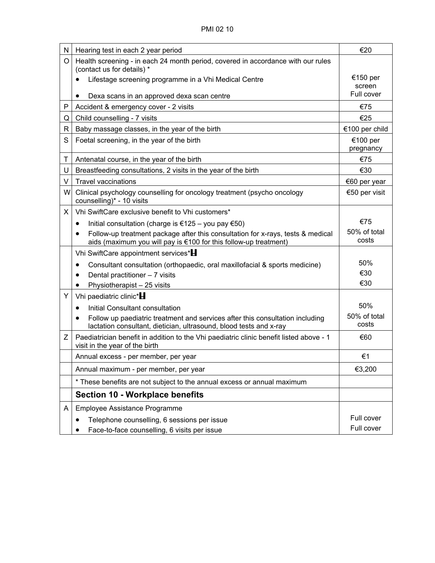| N  | Hearing test in each 2 year period                                                                                                                               | €20                   |
|----|------------------------------------------------------------------------------------------------------------------------------------------------------------------|-----------------------|
| O  | Health screening - in each 24 month period, covered in accordance with our rules<br>(contact us for details) *                                                   |                       |
|    | Lifestage screening programme in a Vhi Medical Centre                                                                                                            | €150 per<br>screen    |
|    | Dexa scans in an approved dexa scan centre<br>$\bullet$                                                                                                          | Full cover            |
| Ρ  | Accident & emergency cover - 2 visits                                                                                                                            | €75                   |
| Q  | Child counselling - 7 visits                                                                                                                                     | €25                   |
| R  | Baby massage classes, in the year of the birth                                                                                                                   | €100 per child        |
| S  | Foetal screening, in the year of the birth                                                                                                                       | €100 per<br>pregnancy |
| Τ  | Antenatal course, in the year of the birth                                                                                                                       | €75                   |
| U  | Breastfeeding consultations, 2 visits in the year of the birth                                                                                                   | €30                   |
| V  | <b>Travel vaccinations</b>                                                                                                                                       | €60 per year          |
| W  | Clinical psychology counselling for oncology treatment (psycho oncology<br>counselling)* - 10 visits                                                             | €50 per visit         |
| X. | Vhi SwiftCare exclusive benefit to Vhi customers*                                                                                                                |                       |
|    | Initial consultation (charge is $€125 -$ you pay $€50)$<br>$\bullet$                                                                                             | €75                   |
|    | Follow-up treatment package after this consultation for x-rays, tests & medical<br>$\bullet$<br>aids (maximum you will pay is €100 for this follow-up treatment) | 50% of total<br>costs |
|    | Vhi SwiftCare appointment services*H                                                                                                                             |                       |
|    | Consultant consultation (orthopaedic, oral maxillofacial & sports medicine)<br>$\bullet$                                                                         | 50%                   |
|    | Dental practitioner - 7 visits                                                                                                                                   | €30                   |
|    | Physiotherapist - 25 visits<br>$\bullet$                                                                                                                         | €30                   |
| Y  | Vhi paediatric clinic*                                                                                                                                           |                       |
|    | Initial Consultant consultation<br>$\bullet$                                                                                                                     | 50%                   |
|    | Follow up paediatric treatment and services after this consultation including<br>lactation consultant, dietician, ultrasound, blood tests and x-ray              | 50% of total<br>costs |
| Ζ  | Paediatrician benefit in addition to the Vhi paediatric clinic benefit listed above - 1<br>visit in the year of the birth                                        | €60                   |
|    | Annual excess - per member, per year                                                                                                                             | €1                    |
|    | Annual maximum - per member, per year                                                                                                                            | €3,200                |
|    | * These benefits are not subject to the annual excess or annual maximum                                                                                          |                       |
|    | <b>Section 10 - Workplace benefits</b>                                                                                                                           |                       |
| A  | Employee Assistance Programme                                                                                                                                    |                       |
|    | Telephone counselling, 6 sessions per issue                                                                                                                      | Full cover            |
|    | Face-to-face counselling, 6 visits per issue                                                                                                                     | Full cover            |